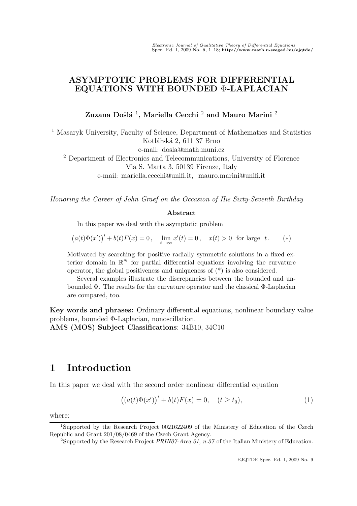### ASYMPTOTIC PROBLEMS FOR DIFFERENTIAL EQUATIONS WITH BOUNDED Φ-LAPLACIAN

Zuzana Došlá  $^1,$  Mariella Cecchi  $^2$  and Mauro Marini  $^2$ 

<sup>1</sup> Masaryk University, Faculty of Science, Department of Mathematics and Statistics Kotlářská 2, 611 37 Brno e-mail: dosla@math.muni.cz <sup>2</sup> Department of Electronics and Telecommunications, University of Florence Via S. Marta 3, 50139 Firenze, Italy e-mail: mariella.cecchi@unifi.it, mauro.marini@unifi.it

Honoring the Career of John Graef on the Occasion of His Sixty-Seventh Birthday

#### Abstract

In this paper we deal with the asymptotic problem

 $(a(t)\Phi(x'))' + b(t)F(x) = 0, \quad \lim_{t \to \infty} x'(t) = 0, \quad x(t) > 0 \text{ for large } t.$  (\*)

Motivated by searching for positive radially symmetric solutions in a fixed exterior domain in  $\mathbb{R}^N$  for partial differential equations involving the curvature operator, the global positiveness and uniqueness of (\*) is also considered.

Several examples illustrate the discrepancies between the bounded and unbounded  $\Phi$ . The results for the curvature operator and the classical  $\Phi$ -Laplacian are compared, too.

Key words and phrases: Ordinary differential equations, nonlinear boundary value problems, bounded Φ-Laplacian, nonoscillation.

AMS (MOS) Subject Classifications: 34B10, 34C10

# 1 Introduction

In this paper we deal with the second order nonlinear differential equation

$$
((a(t)\Phi(x'))' + b(t)F(x) = 0, \quad (t \ge t_0),
$$
\n(1)

where:

<sup>1</sup>Supported by the Research Project 0021622409 of the Ministery of Education of the Czech Republic and Grant 201/08/0469 of the Czech Grant Agency.

<sup>&</sup>lt;sup>2</sup>Supported by the Research Project *PRIN07-Area 01, n.37* of the Italian Ministery of Education.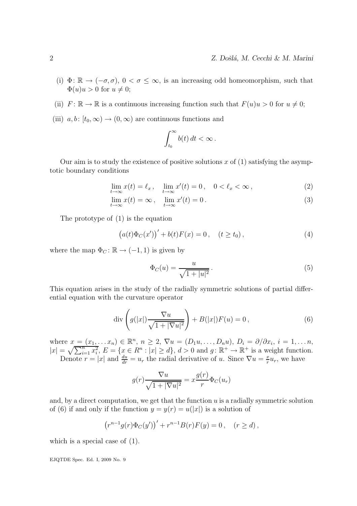- (i)  $\Phi: \mathbb{R} \to (-\sigma, \sigma)$ ,  $0 < \sigma \leq \infty$ , is an increasing odd homeomorphism, such that  $\Phi(u)u > 0$  for  $u \neq 0$ ;
- (ii)  $F: \mathbb{R} \to \mathbb{R}$  is a continuous increasing function such that  $F(u)u > 0$  for  $u \neq 0$ ;
- (iii)  $a, b: [t_0, \infty) \to (0, \infty)$  are continuous functions and

$$
\int_{t_0}^{\infty} b(t) dt < \infty.
$$

Our aim is to study the existence of positive solutions x of  $(1)$  satisfying the asymptotic boundary conditions

$$
\lim_{t \to \infty} x(t) = \ell_x, \quad \lim_{t \to \infty} x'(t) = 0, \quad 0 < \ell_x < \infty \,, \tag{2}
$$

$$
\lim_{t \to \infty} x(t) = \infty, \quad \lim_{t \to \infty} x'(t) = 0.
$$
\n(3)

The prototype of (1) is the equation

$$
(a(t)\Phi_C(x'))' + b(t)F(x) = 0, \quad (t \ge t_0),
$$
 (4)

where the map  $\Phi_C : \mathbb{R} \to (-1, 1)$  is given by

$$
\Phi_C(u) = \frac{u}{\sqrt{1+|u|^2}}.
$$
\n(5)

This equation arises in the study of the radially symmetric solutions of partial differential equation with the curvature operator

$$
\operatorname{div}\left(g(|x|)\frac{\nabla u}{\sqrt{1+|\nabla u|^2}}\right) + B(|x|)F(u) = 0, \tag{6}
$$

where  $x = (x_1, \ldots, x_n) \in \mathbb{R}^n$ ,  $n \geq 2$ ,  $\nabla u = (D_1 u, \ldots, D_n u)$ ,  $D_i = \partial/\partial x_i$ ,  $i = 1, \ldots, n$ ,  $|x| = \sqrt{\sum_{i=1}^n x_i^2}$ ,  $E = \{x \in \mathbb{R}^n : |x| \ge d\}$ ,  $d > 0$  and  $g: \mathbb{R}^+ \to \mathbb{R}^+$  is a weight function. Denote  $r = |x|$  and  $\frac{du}{dr} = u_r$ , the radial derivative of u. Since  $\nabla u = \frac{x}{r}$  $rac{x}{r}u_r$ , we have

$$
g(r)\frac{\nabla u}{\sqrt{1+|\nabla u|^2}} = x\frac{g(r)}{r}\Phi_C(u_r)
$$

and, by a direct computation, we get that the function  $u$  is a radially symmetric solution of (6) if and only if the function  $y = y(r) = u(|x|)$  is a solution of

$$
(r^{n-1}g(r)\Phi_C(y'))' + r^{n-1}B(r)F(y) = 0, \quad (r \ge d),
$$

which is a special case of (1).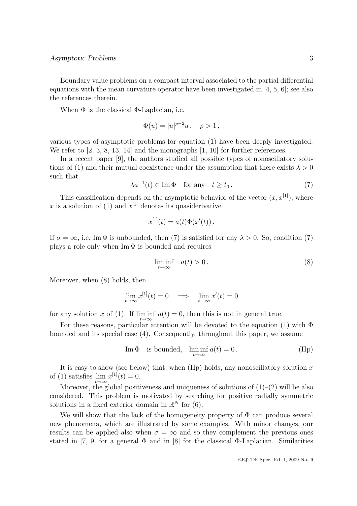Boundary value problems on a compact interval associated to the partial differential equations with the mean curvature operator have been investigated in [4, 5, 6]; see also the references therein.

When  $\Phi$  is the classical  $\Phi$ -Laplacian, i.e.

$$
\Phi(u) = |u|^{p-2}u \,, \quad p > 1 \,,
$$

various types of asymptotic problems for equation (1) have been deeply investigated. We refer to [2, 3, 8, 13, 14] and the monographs [1, 10] for further references.

In a recent paper [9], the authors studied all possible types of nonoscillatory solutions of (1) and their mutual coexistence under the assumption that there exists  $\lambda > 0$ such that

$$
\lambda a^{-1}(t) \in \text{Im } \Phi \quad \text{for any} \quad t \ge t_0. \tag{7}
$$

This classification depends on the asymptotic behavior of the vector  $(x, x<sup>[1]</sup>)$ , where x is a solution of (1) and  $x^{[1]}$  denotes its quasiderivative

$$
x^{[1]}(t) = a(t)\Phi(x'(t)).
$$

If  $\sigma = \infty$ , i.e. Im  $\Phi$  is unbounded, then (7) is satisfied for any  $\lambda > 0$ . So, condition (7) plays a role only when  $\text{Im } \Phi$  is bounded and requires

$$
\liminf_{t \to \infty} \quad a(t) > 0. \tag{8}
$$

Moreover, when (8) holds, then

$$
\lim_{t \to \infty} x^{[1]}(t) = 0 \implies \lim_{t \to \infty} x'(t) = 0
$$

for any solution x of (1). If  $\liminf_{t\to\infty} a(t) = 0$ , then this is not in general true.

For these reasons, particular attention will be devoted to the equation (1) with  $\Phi$ bounded and its special case (4). Consequently, throughout this paper, we assume

Im 
$$
\Phi
$$
 is bounded,  $\liminf_{t \to \infty} a(t) = 0$ . (Hp)

It is easy to show (see below) that, when  $(Hp)$  holds, any nonoscillatory solution x of (1) satisfies  $\lim_{t\to\infty} x^{[1]}(t) = 0.$ 

Moreover, the global positiveness and uniqueness of solutions of  $(1)$ – $(2)$  will be also considered. This problem is motivated by searching for positive radially symmetric solutions in a fixed exterior domain in  $\mathbb{R}^N$  for (6).

We will show that the lack of the homogeneity property of  $\Phi$  can produce several new phenomena, which are illustrated by some examples. With minor changes, our results can be applied also when  $\sigma = \infty$  and so they complement the previous ones stated in [7, 9] for a general  $\Phi$  and in [8] for the classical  $\Phi$ -Laplacian. Similarities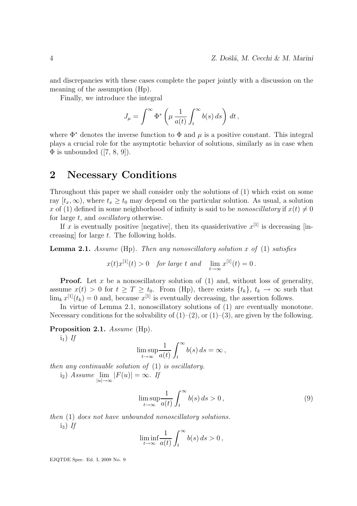and discrepancies with these cases complete the paper jointly with a discussion on the meaning of the assumption (Hp).

Finally, we introduce the integral

$$
J_{\mu} = \int^{\infty} \Phi^* \left( \mu \, \frac{1}{a(t)} \int_t^{\infty} b(s) \, ds \right) \, dt \,,
$$

where  $\Phi^*$  denotes the inverse function to  $\Phi$  and  $\mu$  is a positive constant. This integral plays a crucial role for the asymptotic behavior of solutions, similarly as in case when  $\Phi$  is unbounded ([7, 8, 9]).

### 2 Necessary Conditions

Throughout this paper we shall consider only the solutions of (1) which exist on some ray  $[t_x, \infty)$ , where  $t_x \geq t_0$  may depend on the particular solution. As usual, a solution x of (1) defined in some neighborhood of infinity is said to be *nonoscillatory* if  $x(t) \neq 0$ for large t, and *oscillatory* otherwise.

If x is eventually positive [negative], then its quasiderivative  $x^{[1]}$  is decreasing [increasing] for large t. The following holds.

**Lemma 2.1.** Assume (Hp). Then any nonoscillatory solution x of (1) satisfies

$$
x(t)x^{[1]}(t) > 0 \quad \text{for large } t \text{ and } \lim_{t \to \infty} x^{[1]}(t) = 0.
$$

**Proof.** Let x be a nonoscillatory solution of  $(1)$  and, without loss of generality, assume  $x(t) > 0$  for  $t \geq T \geq t_0$ . From (Hp), there exists  $\{t_k\}, t_k \to \infty$  such that  $\lim_{k} x^{[1]}(t_k) = 0$  and, because  $x^{[1]}$  is eventually decreasing, the assertion follows.

In virtue of Lemma 2.1, nonoscillatory solutions of (1) are eventually monotone. Necessary conditions for the solvability of  $(1)–(2)$ , or  $(1)–(3)$ , are given by the following.

Proposition 2.1. Assume (Hp).

 $i_1$ ) If

$$
\limsup_{t \to \infty} \frac{1}{a(t)} \int_t^{\infty} b(s) \, ds = \infty \,,
$$

then any continuable solution of (1) is oscillatory.  $(i_2)$  Assume  $\lim_{|u|\to\infty} |F(u)| = \infty$ . If

$$
\limsup_{t \to \infty} \frac{1}{a(t)} \int_{t}^{\infty} b(s) \, ds > 0 \,, \tag{9}
$$

then (1) does not have unbounded nonoscillatory solutions.  $i_3$ ) If

$$
\liminf_{t \to \infty} \frac{1}{a(t)} \int_t^{\infty} b(s) \, ds > 0
$$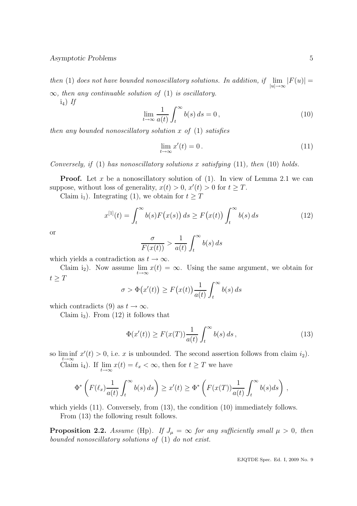then (1) does not have bounded nonoscillatory solutions. In addition, if  $\lim_{|u| \to \infty} |F(u)| =$  $\infty$ , then any continuable solution of (1) is oscillatory.

 $i_4$ ) If

$$
\lim_{t \to \infty} \frac{1}{a(t)} \int_{t}^{\infty} b(s) ds = 0,
$$
\n(10)

then any bounded nonoscillatory solution  $x$  of  $(1)$  satisfies

$$
\lim_{t \to \infty} x'(t) = 0. \tag{11}
$$

Conversely, if  $(1)$  has nonoscillatory solutions x satisfying  $(11)$ , then  $(10)$  holds.

**Proof.** Let x be a nonoscillatory solution of  $(1)$ . In view of Lemma 2.1 we can suppose, without loss of generality,  $x(t) > 0$ ,  $x'(t) > 0$  for  $t \geq T$ .

Claim i<sub>1</sub>). Integrating (1), we obtain for  $t \geq T$ 

$$
x^{[1]}(t) = \int_t^{\infty} b(s) F(x(s)) ds \ge F(x(t)) \int_t^{\infty} b(s) ds \tag{12}
$$

or

$$
\frac{\sigma}{F(x(t))} > \frac{1}{a(t)} \int_t^{\infty} b(s) \, ds
$$

which yields a contradiction as  $t \to \infty$ .

Claim i<sub>2</sub>). Now assume  $\lim_{t\to\infty} x(t) = \infty$ . Using the same argument, we obtain for  $t \geq T$ 

$$
\sigma > \Phi(x'(t)) \ge F(x(t)) \frac{1}{a(t)} \int_t^{\infty} b(s) \, ds
$$

which contradicts (9) as  $t \to \infty$ .

Claim i<sub>3</sub>). From  $(12)$  it follows that

$$
\Phi(x'(t)) \ge F(x(T))\frac{1}{a(t)} \int_{t}^{\infty} b(s) ds , \qquad (13)
$$

so  $\liminf_{t\to\infty} x'(t) > 0$ , i.e. x is unbounded. The second assertion follows from claim  $i_2$ ).

Claim i<sub>4</sub>). If  $\lim_{t\to\infty} x(t) = \ell_x < \infty$ , then for  $t \geq T$  we have

$$
\Phi^*\left(F(\ell_x)\frac{1}{a(t)}\int_t^\infty b(s)\,ds\right)\geq x'(t)\geq \Phi^*\left(F(x(T))\frac{1}{a(t)}\int_t^\infty b(s)ds\right)\,,
$$

which yields  $(11)$ . Conversely, from  $(13)$ , the condition  $(10)$  immediately follows. From (13) the following result follows.

**Proposition 2.2.** Assume (Hp). If  $J_{\mu} = \infty$  for any sufficiently small  $\mu > 0$ , then bounded nonoscillatory solutions of (1) do not exist.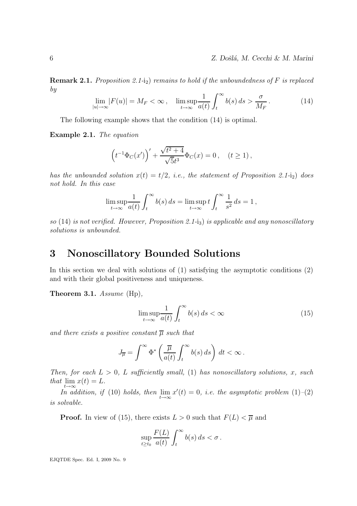**Remark 2.1.** Proposition 2.1-i<sub>2</sub>) remains to hold if the unboundedness of F is replaced by

$$
\lim_{|u| \to \infty} |F(u)| = M_F < \infty \,, \quad \limsup_{t \to \infty} \frac{1}{a(t)} \int_t^\infty b(s) \, ds > \frac{\sigma}{M_F} \,. \tag{14}
$$

The following example shows that the condition (14) is optimal.

Example 2.1. The equation

$$
\left(t^{-1}\Phi_C(x')\right)' + \frac{\sqrt{t^2 + 4}}{\sqrt{5}t^3}\Phi_C(x) = 0\,, \quad (t \ge 1)\,,
$$

has the unbounded solution  $x(t) = t/2$ , i.e., the statement of Proposition 2.1-i<sub>2</sub>) does not hold. In this case

$$
\limsup_{t \to \infty} \frac{1}{a(t)} \int_t^{\infty} b(s) ds = \limsup_{t \to \infty} t \int_t^{\infty} \frac{1}{s^2} ds = 1,
$$

so (14) is not verified. However, Proposition 2.1-i<sub>3</sub>) is applicable and any nonoscillatory solutions is unbounded.

### 3 Nonoscillatory Bounded Solutions

In this section we deal with solutions of (1) satisfying the asymptotic conditions (2) and with their global positiveness and uniqueness.

Theorem 3.1. Assume (Hp),

$$
\limsup_{t \to \infty} \frac{1}{a(t)} \int_{t}^{\infty} b(s) \, ds < \infty \tag{15}
$$

and there exists a positive constant  $\overline{\mu}$  such that

$$
J_{\overline{\mu}} = \int^{\infty} \Phi^* \left( \frac{\overline{\mu}}{a(t)} \int_t^{\infty} b(s) \, ds \right) \, dt < \infty \, .
$$

Then, for each  $L > 0$ , L sufficiently small, (1) has nonoscillatory solutions, x, such that  $\lim_{t\to\infty} x(t) = L.$ 

In addition, if (10) holds, then  $\lim_{t\to\infty}x'(t)=0$ , i.e. the asymptotic problem (1)-(2) is solvable.

**Proof.** In view of (15), there exists  $L > 0$  such that  $F(L) < \overline{\mu}$  and

$$
\sup_{t\geq t_0}\frac{F(L)}{a(t)}\int_t^\infty b(s)\,ds < \sigma.
$$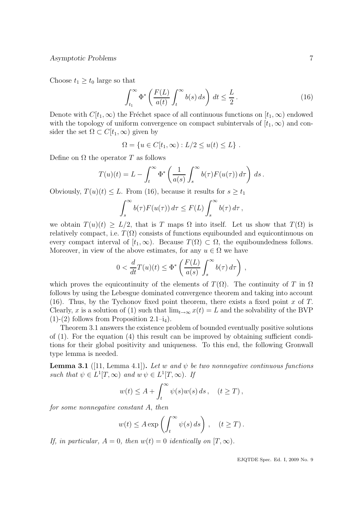Choose  $t_1 \geq t_0$  large so that

$$
\int_{t_1}^{\infty} \Phi^* \left( \frac{F(L)}{a(t)} \int_t^{\infty} b(s) \, ds \right) \, dt \le \frac{L}{2} \,. \tag{16}
$$

Denote with  $C[t_1,\infty)$  the Fréchet space of all continuous functions on  $[t_1,\infty)$  endowed with the topology of uniform convergence on compact subintervals of  $[t_1, \infty)$  and consider the set  $\Omega \subset C[t_1,\infty)$  given by

$$
\Omega = \{ u \in C[t_1, \infty) : L/2 \le u(t) \le L \} .
$$

Define on  $\Omega$  the operator T as follows

$$
T(u)(t) = L - \int_t^{\infty} \Phi^* \left( \frac{1}{a(s)} \int_s^{\infty} b(\tau) F(u(\tau)) d\tau \right) ds.
$$

Obviously,  $T(u)(t) \leq L$ . From (16), because it results for  $s \geq t_1$ 

$$
\int_{s}^{\infty} b(\tau) F(u(\tau)) d\tau \leq F(L) \int_{s}^{\infty} b(\tau) d\tau,
$$

we obtain  $T(u)(t) \geq L/2$ , that is T maps  $\Omega$  into itself. Let us show that  $T(\Omega)$  is relatively compact, i.e.  $T(\Omega)$  consists of functions equibounded and equicontinuous on every compact interval of  $[t_1,\infty)$ . Because  $T(\Omega) \subset \Omega$ , the equiboundedness follows. Moreover, in view of the above estimates, for any  $u \in \Omega$  we have

$$
0 < \frac{d}{dt} T(u)(t) \le \Phi^* \left( \frac{F(L)}{a(s)} \int_s^\infty b(\tau) \, d\tau \right) \,,
$$

which proves the equicontinuity of the elements of  $T(\Omega)$ . The continuity of T in  $\Omega$ follows by using the Lebesgue dominated convergence theorem and taking into account (16). Thus, by the Tychonov fixed point theorem, there exists a fixed point x of  $T$ . Clearly, x is a solution of (1) such that  $\lim_{t\to\infty} x(t) = L$  and the solvability of the BVP  $(1)-(2)$  follows from Proposition 2.1–i<sub>4</sub>).

Theorem 3.1 answers the existence problem of bounded eventually positive solutions of (1). For the equation (4) this result can be improved by obtaining sufficient conditions for their global positivity and uniqueness. To this end, the following Gronwall type lemma is needed.

**Lemma 3.1** ([11, Lemma 4.1]). Let w and  $\psi$  be two nonnegative continuous functions such that  $\psi \in L^1[T, \infty)$  and  $w \psi \in L^1[T, \infty)$ . If

$$
w(t) \le A + \int_t^\infty \psi(s)w(s) \, ds \,, \quad (t \ge T) \,,
$$

for some nonnegative constant A, then

$$
w(t) \le A \exp \left( \int_t^\infty \psi(s) ds \right), \quad (t \ge T).
$$

If, in particular,  $A = 0$ , then  $w(t) = 0$  identically on  $[T, \infty)$ .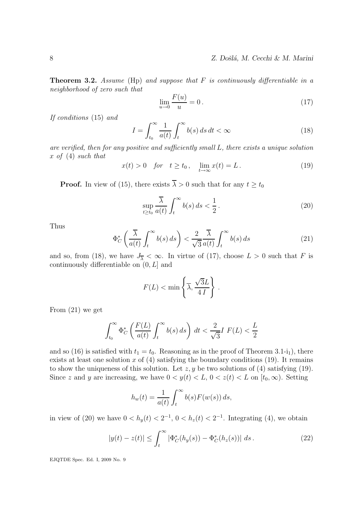**Theorem 3.2.** Assume (Hp) and suppose that  $F$  is continuously differentiable in a neighborhood of zero such that

$$
\lim_{u \to 0} \frac{F(u)}{u} = 0.
$$
\n(17)

If conditions (15) and

$$
I = \int_{t_0}^{\infty} \frac{1}{a(t)} \int_{t}^{\infty} b(s) \, ds \, dt < \infty \tag{18}
$$

are verified, then for any positive and sufficiently small L, there exists a unique solution x of  $(4)$  such that

$$
x(t) > 0 \quad \text{for} \quad t \ge t_0 \,, \quad \lim_{t \to \infty} x(t) = L \,. \tag{19}
$$

**Proof.** In view of (15), there exists  $\overline{\lambda} > 0$  such that for any  $t \ge t_0$ 

$$
\sup_{t \ge t_0} \frac{\overline{\lambda}}{a(t)} \int_t^\infty b(s) \, ds < \frac{1}{2} \,. \tag{20}
$$

Thus

$$
\Phi_C^* \left( \frac{\overline{\lambda}}{a(t)} \int_t^\infty b(s) \, ds \right) < \frac{2}{\sqrt{3}} \frac{\overline{\lambda}}{a(t)} \int_t^\infty b(s) \, ds \tag{21}
$$

and so, from (18), we have  $J_{\overline{\lambda}} < \infty$ . In virtue of (17), choose  $L > 0$  such that F is continuously differentiable on  $(0, L]$  and

$$
F(L) < \min\left\{\overline{\lambda}, \frac{\sqrt{3}L}{4\,I}\right\}.
$$

From (21) we get

$$
\int_{t_0}^{\infty} \Phi_C^* \left( \frac{F(L)}{a(t)} \int_t^{\infty} b(s) \, ds \right) \, dt < \frac{2}{\sqrt{3}} I \ F(L) < \frac{L}{2}
$$

and so (16) is satisfied with  $t_1 = t_0$ . Reasoning as in the proof of Theorem 3.1-i<sub>1</sub>), there exists at least one solution x of  $(4)$  satisfying the boundary conditions  $(19)$ . It remains to show the uniqueness of this solution. Let  $z, y$  be two solutions of (4) satisfying (19). Since z and y are increasing, we have  $0 < y(t) < L$ ,  $0 < z(t) < L$  on  $[t_0, \infty)$ . Setting

$$
h_w(t) = \frac{1}{a(t)} \int_t^{\infty} b(s) F(w(s)) ds,
$$

in view of (20) we have  $0 < h_y(t) < 2^{-1}$ ,  $0 < h_z(t) < 2^{-1}$ . Integrating (4), we obtain

$$
|y(t) - z(t)| \le \int_t^\infty |\Phi_C^*(h_y(s)) - \Phi_C^*(h_z(s))| \, ds. \tag{22}
$$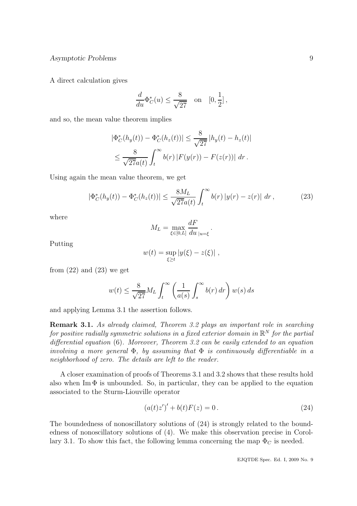A direct calculation gives

$$
\frac{d}{du}\Phi_C^*(u) \le \frac{8}{\sqrt{27}} \quad \text{on} \quad [0, \frac{1}{2}],
$$

and so, the mean value theorem implies

$$
|\Phi_C^*(h_y(t)) - \Phi_C^*(h_z(t))| \le \frac{8}{\sqrt{27}} |h_y(t) - h_z(t)|
$$
  

$$
\le \frac{8}{\sqrt{27}a(t)} \int_t^\infty b(r) |F(y(r)) - F(z(r))| dr.
$$

Using again the mean value theorem, we get

$$
|\Phi_C^*(h_y(t)) - \Phi_C^*(h_z(t))| \le \frac{8M_L}{\sqrt{27}a(t)} \int_t^\infty b(r) |y(r) - z(r)| \, dr \,, \tag{23}
$$

.

where

$$
M_L = \max_{\xi \in [0,L]} \frac{dF}{du}_{|u=\xi}
$$

Putting

$$
w(t) = \sup_{\xi \ge t} |y(\xi) - z(\xi)|,
$$

from  $(22)$  and  $(23)$  we get

$$
w(t) \le \frac{8}{\sqrt{27}} M_L \int_t^\infty \left(\frac{1}{a(s)} \int_s^\infty b(r) \, dr\right) w(s) \, ds
$$

and applying Lemma 3.1 the assertion follows.

Remark 3.1. As already claimed, Theorem 3.2 plays an important role in searching for positive radially symmetric solutions in a fixed exterior domain in  $\mathbb{R}^N$  for the partial differential equation (6). Moreover, Theorem 3.2 can be easily extended to an equation involving a more general  $\Phi$ , by assuming that  $\Phi$  is continuously differentiable in a neighborhood of zero. The details are left to the reader.

A closer examination of proofs of Theorems 3.1 and 3.2 shows that these results hold also when Im  $\Phi$  is unbounded. So, in particular, they can be applied to the equation associated to the Sturm-Liouville operator

$$
(a(t)z')' + b(t)F(z) = 0.
$$
 (24)

The boundedness of nonoscillatory solutions of (24) is strongly related to the boundedness of nonoscillatory solutions of (4). We make this observation precise in Corollary 3.1. To show this fact, the following lemma concerning the map  $\Phi_C$  is needed.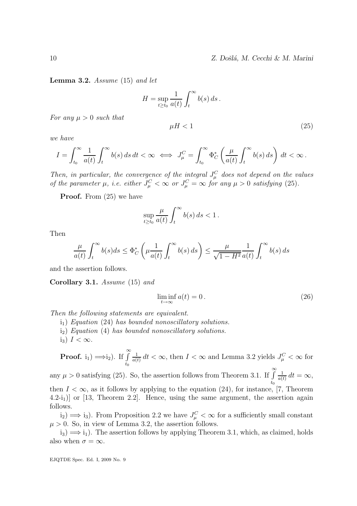$\mu H < 1$  (25)

**Lemma 3.2.** Assume  $(15)$  and let

$$
H = \sup_{t \ge t_0} \frac{1}{a(t)} \int_t^{\infty} b(s) \, ds \, .
$$

For any  $\mu > 0$  such that

we have

$$
I = \int_{t_0}^{\infty} \frac{1}{a(t)} \int_t^{\infty} b(s) \, ds \, dt < \infty \iff J_{\mu}^C = \int_{t_0}^{\infty} \Phi_C^* \left( \frac{\mu}{a(t)} \int_t^{\infty} b(s) \, ds \right) \, dt < \infty \, .
$$

Then, in particular, the convergence of the integral  $J_{\mu}^C$  does not depend on the values of the parameter  $\mu$ , i.e. either  $J_{\mu}^C < \infty$  or  $J_{\mu}^C = \infty$  for any  $\mu > 0$  satisfying (25).

**Proof.** From  $(25)$  we have

$$
\sup_{t\geq t_0}\frac{\mu}{a(t)}\int_t^\infty b(s)\,ds<1\,.
$$

Then

$$
\frac{\mu}{a(t)} \int_t^{\infty} b(s)ds \le \Phi_C^* \left( \mu \frac{1}{a(t)} \int_t^{\infty} b(s) ds \right) \le \frac{\mu}{\sqrt{1 - H^2}} \frac{1}{a(t)} \int_t^{\infty} b(s) ds
$$

and the assertion follows.

Corollary 3.1. Assume (15) and

$$
\liminf_{t \to \infty} a(t) = 0. \tag{26}
$$

Then the following statements are equivalent.

- $i_1$ ) Equation (24) has bounded nonoscillatory solutions.
- i2) Equation (4) has bounded nonoscillatory solutions.
- i<sub>3</sub>)  $I < \infty$ .

**Proof.** i<sub>1</sub>) 
$$
\Longrightarrow
$$
 i<sub>2</sub>). If  $\int_{t_0}^{\infty} \frac{1}{a(t)} dt < \infty$ , then  $I < \infty$  and Lemma 3.2 yields  $J^C_{\mu} < \infty$  for

any  $\mu > 0$  satisfying (25). So, the assertion follows from Theorem 3.1. If  $\int_{0}^{\infty}$  $t_0$ 1  $\frac{1}{a(t)} dt = \infty,$ 

then  $I < \infty$ , as it follows by applying to the equation (24), for instance, [7, Theorem  $(4.2-i_1)$ ] or [13, Theorem 2.2]. Hence, using the same argument, the assertion again follows.

 $(i_2) \Longrightarrow i_3$ ). From Proposition 2.2 we have  $J_{\mu}^C < \infty$  for a sufficiently small constant  $\mu > 0$ . So, in view of Lemma 3.2, the assertion follows.

 $i_3$ )  $\implies$   $i_1$ ). The assertion follows by applying Theorem 3.1, which, as claimed, holds also when  $\sigma = \infty$ .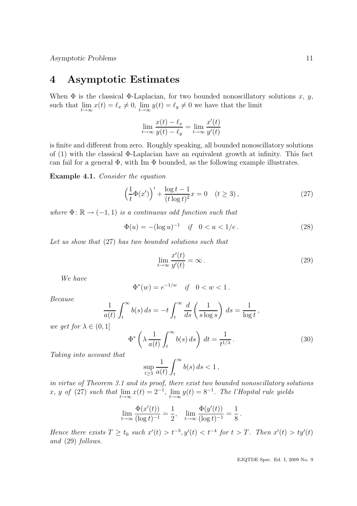### 4 Asymptotic Estimates

When  $\Phi$  is the classical  $\Phi$ -Laplacian, for two bounded nonoscillatory solutions x, y, such that  $\lim_{t\to\infty} x(t) = \ell_x \neq 0$ ,  $\lim_{t\to\infty} y(t) = \ell_y \neq 0$  we have that the limit

$$
\lim_{t \to \infty} \frac{x(t) - \ell_x}{y(t) - \ell_y} = \lim_{t \to \infty} \frac{x'(t)}{y'(t)}
$$

is finite and different from zero. Roughly speaking, all bounded nonoscillatory solutions of (1) with the classical Φ-Laplacian have an equivalent growth at infinity. This fact can fail for a general  $\Phi$ , with Im  $\Phi$  bounded, as the following example illustrates.

Example 4.1. Consider the equation

$$
\left(\frac{1}{t}\Phi(x')\right)' + \frac{\log t - 1}{(t\log t)^2}x = 0 \quad (t \ge 3),\tag{27}
$$

where  $\Phi: \mathbb{R} \to (-1, 1)$  is a continuous odd function such that

$$
\Phi(u) = -(\log u)^{-1} \quad \text{if} \quad 0 < u < 1/e \,. \tag{28}
$$

Let us show that (27) has two bounded solutions such that

$$
\lim_{t \to \infty} \frac{x'(t)}{y'(t)} = \infty.
$$
\n(29)

We have

$$
\Phi^*(w) = e^{-1/w} \quad \text{if} \quad 0 < w < 1 \, .
$$

Because

$$
\frac{1}{a(t)} \int_t^{\infty} b(s) ds = -t \int_t^{\infty} \frac{d}{ds} \left( \frac{1}{s \log s} \right) ds = \frac{1}{\log t},
$$

we get for  $\lambda \in (0, 1]$ 

$$
\Phi^* \left( \lambda \, \frac{1}{a(t)} \int_t^\infty b(s) \, ds \right) \, dt = \frac{1}{t^{1/\lambda}} \,. \tag{30}
$$

.

Taking into account that

$$
\sup_{t\geq 3}\frac{1}{a(t)}\int_t^\infty b(s)\,ds<1\,,
$$

in virtue of Theorem 3.1 and its proof, there exist two bounded nonoscillatory solutions x, y of (27) such that  $\lim_{t\to\infty} x(t) = 2^{-1}$ ,  $\lim_{t\to\infty} y(t) = 8^{-1}$ . The l'Hopital rule yields

$$
\lim_{t \to \infty} \frac{\Phi(x'(t))}{(\log t)^{-1}} = \frac{1}{2}, \quad \lim_{t \to \infty} \frac{\Phi(y'(t))}{(\log t)^{-1}} = \frac{1}{8}
$$

Hence there exists  $T \ge t_0$  such  $x'(t) > t^{-3}$ ,  $y'(t) < t^{-4}$  for  $t > T$ . Then  $x'(t) > ty'(t)$ and (29) follows.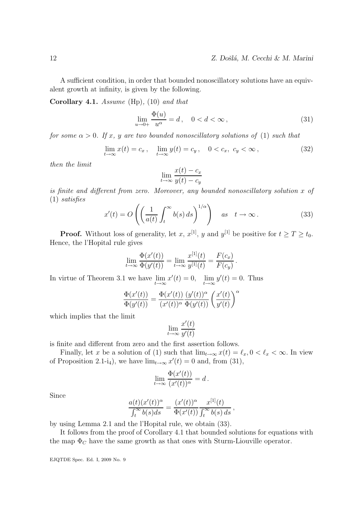A sufficient condition, in order that bounded nonoscillatory solutions have an equivalent growth at infinity, is given by the following.

Corollary 4.1. Assume (Hp), (10) and that

$$
\lim_{u \to 0+} \frac{\Phi(u)}{u^{\alpha}} = d, \quad 0 < d < \infty \,, \tag{31}
$$

for some  $\alpha > 0$ . If x, y are two bounded nonoscillatory solutions of (1) such that

$$
\lim_{t \to \infty} x(t) = c_x, \quad \lim_{t \to \infty} y(t) = c_y, \quad 0 < c_x, \quad c_y < \infty \,, \tag{32}
$$

then the limit

$$
\lim_{t \to \infty} \frac{x(t) - c_x}{y(t) - c_y}
$$

is finite and different from zero. Moreover, any bounded nonoscillatory solution x of (1) satisfies

$$
x'(t) = O\left(\left(\frac{1}{a(t)} \int_t^{\infty} b(s) \, ds\right)^{1/\alpha}\right) \quad \text{as} \quad t \to \infty. \tag{33}
$$

**Proof.** Without loss of generality, let x,  $x^{[1]}$ , y and  $y^{[1]}$  be positive for  $t \geq T \geq t_0$ . Hence, the l'Hopital rule gives

$$
\lim_{t \to \infty} \frac{\Phi(x'(t))}{\Phi(y'(t))} = \lim_{t \to \infty} \frac{x^{[1]}(t)}{y^{[1]}(t)} = \frac{F(c_x)}{F(c_y)}.
$$

In virtue of Theorem 3.1 we have  $\lim_{t \to \infty} x'(t) = 0$ ,  $\lim_{t \to \infty} y'(t) = 0$ . Thus

$$
\frac{\Phi(x'(t))}{\Phi(y'(t))} = \frac{\Phi(x'(t))}{(x'(t))^\alpha} \frac{(y'(t))^\alpha}{\Phi(y'(t))} \left(\frac{x'(t)}{y'(t)}\right)^\alpha
$$

which implies that the limit

$$
\lim_{t \to \infty} \frac{x'(t)}{y'(t)}
$$

is finite and different from zero and the first assertion follows.

Finally, let x be a solution of (1) such that  $\lim_{t\to\infty} x(t) = \ell_x, 0 < \ell_x < \infty$ . In view of Proposition 2.1-i<sub>4</sub>), we have  $\lim_{t\to\infty} x'(t) = 0$  and, from (31),

$$
\lim_{t \to \infty} \frac{\Phi(x'(t))}{(x'(t))^\alpha} = d.
$$

Since

$$
\frac{a(t)(x'(t))^{\alpha}}{\int_t^{\infty} b(s)ds} = \frac{(x'(t))^{\alpha}}{\Phi(x'(t))} \frac{x^{[1]}(t)}{\int_t^{\infty} b(s) ds},
$$

by using Lemma 2.1 and the l'Hopital rule, we obtain (33).

It follows from the proof of Corollary 4.1 that bounded solutions for equations with the map  $\Phi_C$  have the same growth as that ones with Sturm-Liouville operator.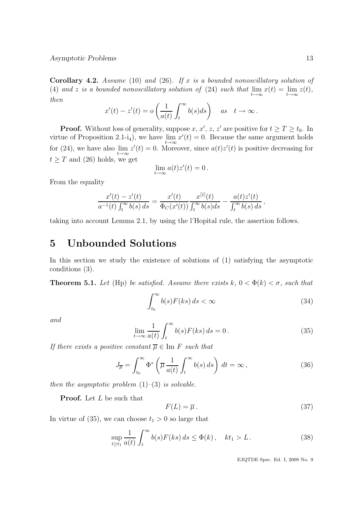**Corollary 4.2.** Assume (10) and (26). If x is a bounded nonoscillatory solution of (4) and z is a bounded nonoscillatory solution of (24) such that  $\lim_{t\to\infty} x(t) = \lim_{t\to\infty} z(t)$ , then

$$
x'(t) - z'(t) = o\left(\frac{1}{a(t)} \int_t^{\infty} b(s)ds\right) \quad as \quad t \to \infty.
$$

**Proof.** Without loss of generality, suppose x, x', z, z' are positive for  $t \geq T \geq t_0$ . In virtue of Proposition 2.1-i<sub>4</sub>), we have  $\lim_{t\to\infty} x'(t) = 0$ . Because the same argument holds for (24), we have also  $\lim_{t\to\infty} z'(t) = 0$ . Moreover, since  $a(t)z'(t)$  is positive decreasing for  $t \geq T$  and (26) holds, we get

$$
\lim_{t \to \infty} a(t)z'(t) = 0.
$$

From the equality

$$
\frac{x'(t) - z'(t)}{a^{-1}(t) \int_t^{\infty} b(s) ds} = \frac{x'(t)}{\Phi_C(x'(t))} \frac{x^{[1]}(t)}{\int_t^{\infty} b(s) ds} - \frac{a(t)z'(t)}{\int_t^{\infty} b(s) ds},
$$

taking into account Lemma 2.1, by using the l'Hopital rule, the assertion follows.

# 5 Unbounded Solutions

In this section we study the existence of solutions of (1) satisfying the asymptotic conditions (3).

**Theorem 5.1.** Let (Hp) be satisfied. Assume there exists  $k, 0 < \Phi(k) < \sigma$ , such that

$$
\int_{t_0}^{\infty} b(s) F(ks) \, ds < \infty \tag{34}
$$

and

$$
\lim_{t \to \infty} \frac{1}{a(t)} \int_{t}^{\infty} b(s) F(ks) ds = 0.
$$
\n(35)

If there exists a positive constant  $\overline{\mu} \in \text{Im } F$  such that

$$
J_{\overline{\mu}} = \int_{t_0}^{\infty} \Phi^* \left( \overline{\mu} \frac{1}{a(t)} \int_t^{\infty} b(s) \, ds \right) \, dt = \infty \,, \tag{36}
$$

then the asymptotic problem  $(1)$ – $(3)$  is solvable.

**Proof.** Let L be such that

$$
F(L) = \overline{\mu} \,. \tag{37}
$$

In virtue of (35), we can choose  $t_1 > 0$  so large that

$$
\sup_{t \ge t_1} \frac{1}{a(t)} \int_t^\infty b(s) F(ks) \, ds \le \Phi(k), \quad kt_1 > L. \tag{38}
$$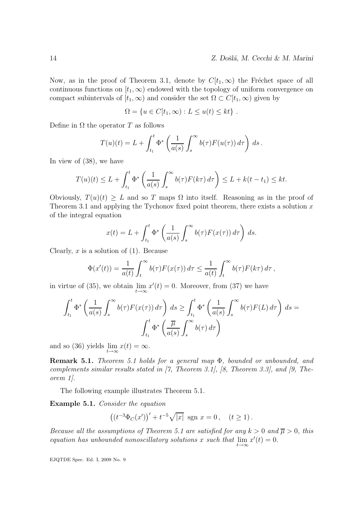Now, as in the proof of Theorem 3.1, denote by  $C[t_1,\infty)$  the Fréchet space of all continuous functions on  $[t_1, \infty)$  endowed with the topology of uniform convergence on compact subintervals of  $[t_1, \infty)$  and consider the set  $\Omega \subset C[t_1, \infty)$  given by

$$
\Omega = \{ u \in C[t_1, \infty) : L \le u(t) \le kt \} .
$$

Define in  $\Omega$  the operator T as follows

$$
T(u)(t) = L + \int_{t_1}^t \Phi^* \left( \frac{1}{a(s)} \int_s^\infty b(\tau) F(u(\tau)) d\tau \right) ds.
$$

In view of (38), we have

$$
T(u)(t) \leq L + \int_{t_1}^t \Phi^* \left( \frac{1}{a(s)} \int_s^\infty b(\tau) F(k\tau) d\tau \right) \leq L + k(t - t_1) \leq kt.
$$

Obviously,  $T(u)(t) \geq L$  and so T maps  $\Omega$  into itself. Reasoning as in the proof of Theorem 3.1 and applying the Tychonov fixed point theorem, there exists a solution  $x$ of the integral equation

$$
x(t) = L + \int_{t_1}^t \Phi^* \left( \frac{1}{a(s)} \int_s^\infty b(\tau) F(x(\tau)) d\tau \right) ds.
$$

Clearly, x is a solution of  $(1)$ . Because

$$
\Phi(x'(t)) = \frac{1}{a(t)} \int_t^{\infty} b(\tau) F(x(\tau)) d\tau \leq \frac{1}{a(t)} \int_t^{\infty} b(\tau) F(k\tau) d\tau,
$$

in virtue of (35), we obtain  $\lim_{t\to\infty} x'(t) = 0$ . Moreover, from (37) we have

$$
\int_{t_1}^t \Phi^* \left( \frac{1}{a(s)} \int_s^\infty b(\tau) F(x(\tau)) d\tau \right) ds \ge \int_{t_1}^t \Phi^* \left( \frac{1}{a(s)} \int_s^\infty b(\tau) F(L) d\tau \right) ds =
$$

$$
\int_{t_1}^t \Phi^* \left( \frac{\overline{\mu}}{a(s)} \int_s^\infty b(\tau) d\tau \right)
$$

and so (36) yields  $\lim_{t\to\infty} x(t) = \infty$ .

Remark 5.1. Theorem 5.1 holds for a general map Φ, bounded or unbounded, and complements similar results stated in [7, Theorem 3.1], [8, Theorem 3.3], and [9, Theorem 1].

The following example illustrates Theorem 5.1.

Example 5.1. Consider the equation

$$
((t^{-3}\Phi_C(x'))' + t^{-5}\sqrt{|x|} \text{ sgn } x = 0, \quad (t \ge 1).
$$

Because all the assumptions of Theorem 5.1 are satisfied for any  $k > 0$  and  $\overline{\mu} > 0$ , this equation has unbounded nonoscillatory solutions x such that  $\lim_{t\to\infty} x'(t) = 0$ .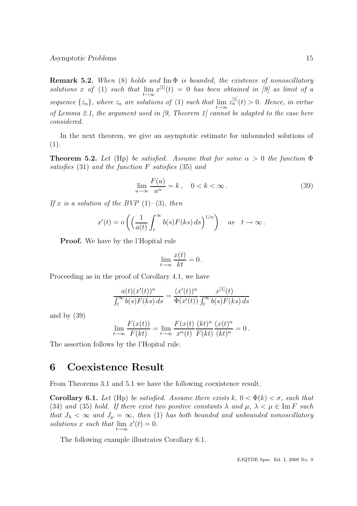**Remark 5.2.** When (8) holds and  $\text{Im } \Phi$  is bounded, the existence of nonoscillatory solutions x of (1) such that  $\lim_{t\to\infty} x^{[1]}(t) = 0$  has been obtained in [9] as limit of a sequence  $\{z_n\}$ , where  $z_n$  are solutions of (1) such that  $\lim_{t\to\infty}z_n^{[1]}(t) > 0$ . Hence, in virtue of Lemma 2.1, the argument used in [9, Theorem 1] cannot be adapted to the case here considered.

In the next theorem, we give an asymptotic estimate for unbounded solutions of (1).

**Theorem 5.2.** Let (Hp) be satisfied. Assume that for some  $\alpha > 0$  the function  $\Phi$ satisfies (31) and the function F satisfies (35) and

$$
\lim_{u \to \infty} \frac{F(u)}{u^{\alpha}} = k, \quad 0 < k < \infty. \tag{39}
$$

If x is a solution of the BVP  $(1)-(3)$ , then

$$
x'(t) = o\left(\left(\frac{1}{a(t)} \int_t^{\infty} b(s) F(ks) ds\right)^{1/\alpha}\right) \quad as \quad t \to \infty.
$$

Proof. We have by the l'Hopital rule

$$
\lim_{t \to \infty} \frac{x(t)}{kt} = 0.
$$

Proceeding as in the proof of Corollary 4.1, we have

$$
\frac{a(t)(x'(t))^\alpha}{\int_t^\infty b(s)F(ks)\,ds} = \frac{(x'(t))^\alpha}{\Phi(x'(t))} \frac{x^{[1]}(t)}{\int_t^\infty b(s)F(ks)\,ds}
$$

and by (39)

$$
\lim_{t \to \infty} \frac{F(x(t))}{F(kt)} = \lim_{t \to \infty} \frac{F(x(t))}{x^{\alpha}(t)} \frac{(kt)^{\alpha}}{F(kt)} \frac{(x(t)^{\alpha})}{(kt)^{\alpha}} = 0.
$$

The assertion follows by the l'Hopital rule.

# 6 Coexistence Result

From Theorems 3.1 and 5.1 we have the following coexistence result.

**Corollary 6.1.** Let (Hp) be satisfied. Assume there exists  $k, 0 < \Phi(k) < \sigma$ , such that (34) and (35) hold. If there exist two positive constants  $\lambda$  and  $\mu$ ,  $\lambda < \mu \in \text{Im } F$  such that  $J_{\lambda} < \infty$  and  $J_{\mu} = \infty$ , then (1) has both bounded and unbounded nonoscillatory solutions x such that  $\lim_{t\to\infty} x'(t) = 0.$ 

The following example illustrates Corollary 6.1.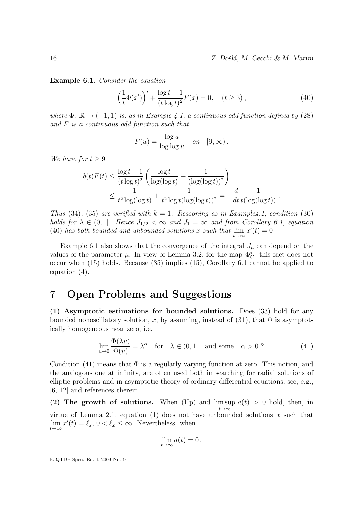Example 6.1. Consider the equation

$$
\left(\frac{1}{t}\Phi(x')\right)' + \frac{\log t - 1}{(t\log t)^2}F(x) = 0, \quad (t \ge 3),\tag{40}
$$

where  $\Phi: \mathbb{R} \to (-1, 1)$  is, as in Example 4.1, a continuous odd function defined by (28) and F is a continuous odd function such that

$$
F(u) = \frac{\log u}{\log \log u} \quad on \quad [9, \infty).
$$

We have for  $t \geq 9$ 

$$
b(t)F(t) \le \frac{\log t - 1}{(t \log t)^2} \left( \frac{\log t}{\log(\log t)} + \frac{1}{(\log(\log t))^2} \right) \le \frac{1}{t^2 \log(\log t)} + \frac{1}{t^2 \log t (\log(\log t))^2} = -\frac{d}{dt} \frac{1}{t(\log(\log t))}.
$$

Thus (34), (35) are verified with  $k = 1$ . Reasoning as in Example4.1, condition (30) holds for  $\lambda \in (0,1]$ . Hence  $J_{1/2} < \infty$  and  $J_1 = \infty$  and from Corollary 6.1, equation (40) has both bounded and unbounded solutions x such that  $\lim_{t\to\infty} x'(t) = 0$ 

Example 6.1 also shows that the convergence of the integral  $J_\mu$  can depend on the values of the parameter  $\mu$ . In view of Lemma 3.2, for the map  $\Phi_C^*$  this fact does not occur when (15) holds. Because (35) implies (15), Corollary 6.1 cannot be applied to equation (4).

# 7 Open Problems and Suggestions

(1) Asymptotic estimations for bounded solutions. Does (33) hold for any bounded nonoscillatory solution, x, by assuming, instead of (31), that  $\Phi$  is asymptotically homogeneous near zero, i.e.

$$
\lim_{u \to 0} \frac{\Phi(\lambda u)}{\Phi(u)} = \lambda^{\alpha} \quad \text{for} \quad \lambda \in (0, 1] \quad \text{and some} \quad \alpha > 0 ? \tag{41}
$$

Condition (41) means that  $\Phi$  is a regularly varying function at zero. This notion, and the analogous one at infinity, are often used both in searching for radial solutions of elliptic problems and in asymptotic theory of ordinary differential equations, see, e.g., [6, 12] and references therein.

(2) The growth of solutions. When (Hp) and  $\limsup a(t) > 0$  hold, then, in  $t\rightarrow\infty$ virtue of Lemma 2.1, equation (1) does not have unbounded solutions  $x$  such that  $\lim_{t \to \infty} x'(t) = \ell_x, 0 < \ell_x \leq \infty$ . Nevertheless, when

$$
\lim_{t\to\infty}a(t)=0\,,
$$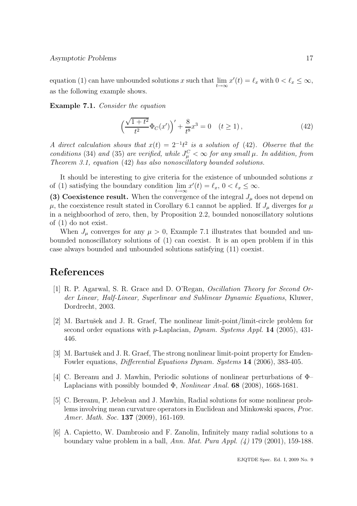equation (1) can have unbounded solutions x such that  $\lim_{t\to\infty} x'(t) = \ell_x$  with  $0 < \ell_x \leq \infty$ , as the following example shows.

Example 7.1. Consider the equation

$$
\left(\frac{\sqrt{1+t^2}}{t^2}\Phi_C(x')\right)' + \frac{8}{t^8}x^3 = 0 \quad (t \ge 1),\tag{42}
$$

A direct calculation shows that  $x(t) = 2^{-1}t^2$  is a solution of (42). Observe that the conditions (34) and (35) are verified, while  $J_{\mu}^C < \infty$  for any small  $\mu$ . In addition, from Theorem 3.1, equation (42) has also nonoscillatory bounded solutions.

It should be interesting to give criteria for the existence of unbounded solutions  $x$ of (1) satisfying the boundary condition  $\lim_{t\to\infty} x'(t) = \ell_x, 0 < \ell_x \leq \infty$ .

(3) Coexistence result. When the convergence of the integral  $J_\mu$  does not depend on  $\mu$ , the coexistence result stated in Corollary 6.1 cannot be applied. If  $J_{\mu}$  diverges for  $\mu$ in a neighboorhod of zero, then, by Proposition 2.2, bounded nonoscillatory solutions of (1) do not exist.

When  $J_{\mu}$  converges for any  $\mu > 0$ , Example 7.1 illustrates that bounded and unbounded nonoscillatory solutions of (1) can coexist. It is an open problem if in this case always bounded and unbounded solutions satisfying (11) coexist.

# References

- [1] R. P. Agarwal, S. R. Grace and D. O'Regan, Oscillation Theory for Second Order Linear, Half-Linear, Superlinear and Sublinear Dynamic Equations, Kluwer, Dordrecht, 2003.
- [2] M. Bartušek and J. R. Graef, The nonlinear limit-point/limit-circle problem for second order equations with p-Laplacian, *Dynam. Systems Appl.* **14** (2005), 431-446.
- [3] M. Bartušek and J. R. Graef, The strong nonlinear limit-point property for Emden-Fowler equations, Differential Equations Dynam. Systems 14 (2006), 383-405.
- [4] C. Bereanu and J. Mawhin, Periodic solutions of nonlinear perturbations of Φ– Laplacians with possibly bounded  $\Phi$ , *Nonlinear Anal.* **68** (2008), 1668-1681.
- [5] C. Bereanu, P. Jebelean and J. Mawhin, Radial solutions for some nonlinear problems involving mean curvature operators in Euclidean and Minkowski spaces, Proc. Amer. Math. Soc. **137** (2009), 161-169.
- [6] A. Capietto, W. Dambrosio and F. Zanolin, Infinitely many radial solutions to a boundary value problem in a ball, Ann. Mat. Pura Appl.  $(4)$  179 (2001), 159-188.